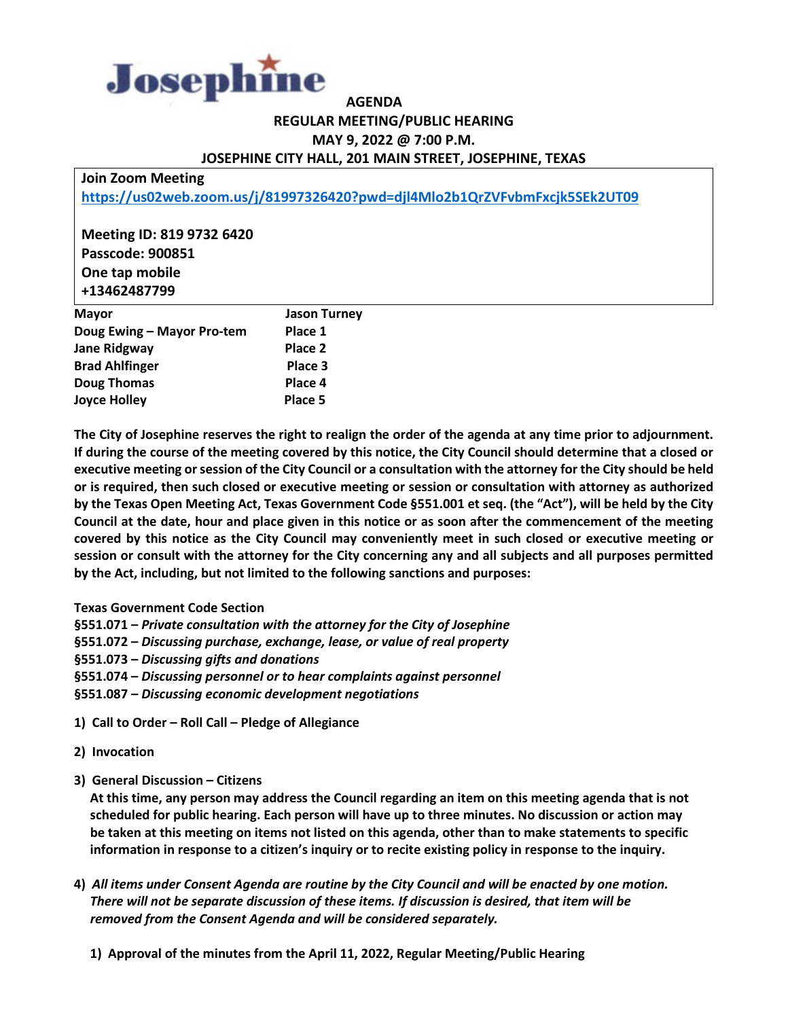

## **AGENDA REGULAR MEETING/PUBLIC HEARING MAY 9, 2022 @ 7:00 P.M. JOSEPHINE CITY HALL, 201 MAIN STREET, JOSEPHINE, TEXAS**

**Join Zoom Meeting**

**<https://us02web.zoom.us/j/81997326420?pwd=djl4Mlo2b1QrZVFvbmFxcjk5SEk2UT09>**

**Meeting ID: 819 9732 6420 Passcode: 900851 One tap mobile +13462487799**

| <b>Mayor</b>               | <b>Jason Turney</b> |
|----------------------------|---------------------|
| Doug Ewing - Mayor Pro-tem | Place 1             |
| <b>Jane Ridgway</b>        | Place 2             |
| <b>Brad Ahlfinger</b>      | Place 3             |
| <b>Doug Thomas</b>         | Place 4             |
| <b>Joyce Holley</b>        | Place 5             |

**The City of Josephine reserves the right to realign the order of the agenda at any time prior to adjournment. If during the course of the meeting covered by this notice, the City Council should determine that a closed or executive meeting or session of the City Council or a consultation with the attorney for the City should be held or is required, then such closed or executive meeting or session or consultation with attorney as authorized by the Texas Open Meeting Act, Texas Government Code §551.001 et seq. (the "Act"), will be held by the City Council at the date, hour and place given in this notice or as soon after the commencement of the meeting covered by this notice as the City Council may conveniently meet in such closed or executive meeting or session or consult with the attorney for the City concerning any and all subjects and all purposes permitted by the Act, including, but not limited to the following sanctions and purposes:**

## **Texas Government Code Section**

**§551.071 –** *Private consultation with the attorney for the City of Josephine*

**§551.072 –** *Discussing purchase, exchange, lease, or value of real property*

**§551.073 –** *Discussing gifts and donations*

**§551.074 –** *Discussing personnel or to hear complaints against personnel*

**§551.087 –** *Discussing economic development negotiations*

**1) Call to Order – Roll Call – Pledge of Allegiance**

**2) Invocation**

**3) General Discussion – Citizens**

 **At this time, any person may address the Council regarding an item on this meeting agenda that is not scheduled for public hearing. Each person will have up to three minutes. No discussion or action may be taken at this meeting on items not listed on this agenda, other than to make statements to specific information in response to a citizen's inquiry or to recite existing policy in response to the inquiry.** 

- **4)** *All items under Consent Agenda are routine by the City Council and will be enacted by one motion. There will not be separate discussion of these items. If discussion is desired, that item will be removed from the Consent Agenda and will be considered separately.*
	- **1) Approval of the minutes from the April 11, 2022, Regular Meeting/Public Hearing**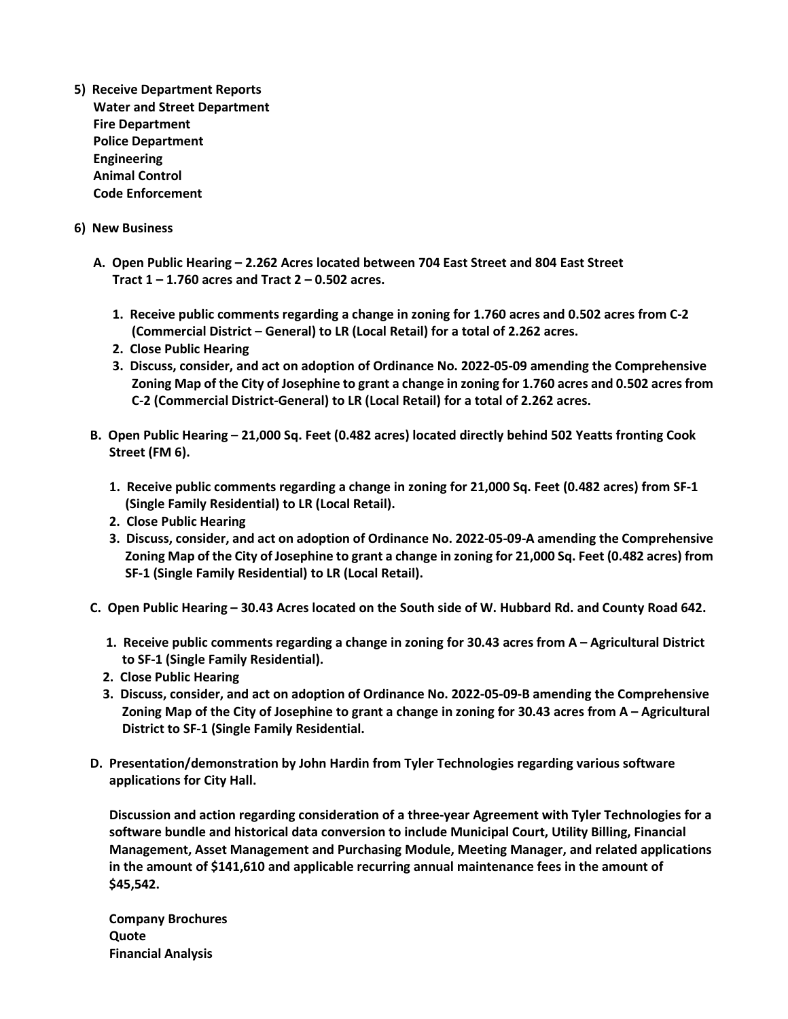- **5) Receive Department Reports Water and Street Department Fire Department Police Department Engineering Animal Control Code Enforcement**
- **6) New Business**
	- **A. Open Public Hearing – 2.262 Acres located between 704 East Street and 804 East Street Tract 1 – 1.760 acres and Tract 2 – 0.502 acres.**
		- **1. Receive public comments regarding a change in zoning for 1.760 acres and 0.502 acres from C-2 (Commercial District – General) to LR (Local Retail) for a total of 2.262 acres.**
		- **2. Close Public Hearing**
		- **3. Discuss, consider, and act on adoption of Ordinance No. 2022-05-09 amending the Comprehensive Zoning Map of the City of Josephine to grant a change in zoning for 1.760 acres and 0.502 acres from C-2 (Commercial District-General) to LR (Local Retail) for a total of 2.262 acres.**
	- **B. Open Public Hearing – 21,000 Sq. Feet (0.482 acres) located directly behind 502 Yeatts fronting Cook Street (FM 6).**
		- **1. Receive public comments regarding a change in zoning for 21,000 Sq. Feet (0.482 acres) from SF-1 (Single Family Residential) to LR (Local Retail).**
		- **2. Close Public Hearing**
		- **3. Discuss, consider, and act on adoption of Ordinance No. 2022-05-09-A amending the Comprehensive Zoning Map of the City of Josephine to grant a change in zoning for 21,000 Sq. Feet (0.482 acres) from SF-1 (Single Family Residential) to LR (Local Retail).**
	- **C. Open Public Hearing – 30.43 Acres located on the South side of W. Hubbard Rd. and County Road 642.**
		- **1. Receive public comments regarding a change in zoning for 30.43 acres from A – Agricultural District to SF-1 (Single Family Residential).**
		- **2. Close Public Hearing**
		- **3. Discuss, consider, and act on adoption of Ordinance No. 2022-05-09-B amending the Comprehensive Zoning Map of the City of Josephine to grant a change in zoning for 30.43 acres from A – Agricultural District to SF-1 (Single Family Residential.**
	- **D. Presentation/demonstration by John Hardin from Tyler Technologies regarding various software applications for City Hall.**

 **Discussion and action regarding consideration of a three-year Agreement with Tyler Technologies for a software bundle and historical data conversion to include Municipal Court, Utility Billing, Financial Management, Asset Management and Purchasing Module, Meeting Manager, and related applications in the amount of \$141,610 and applicable recurring annual maintenance fees in the amount of \$45,542.**

 **Company Brochures Quote Financial Analysis**